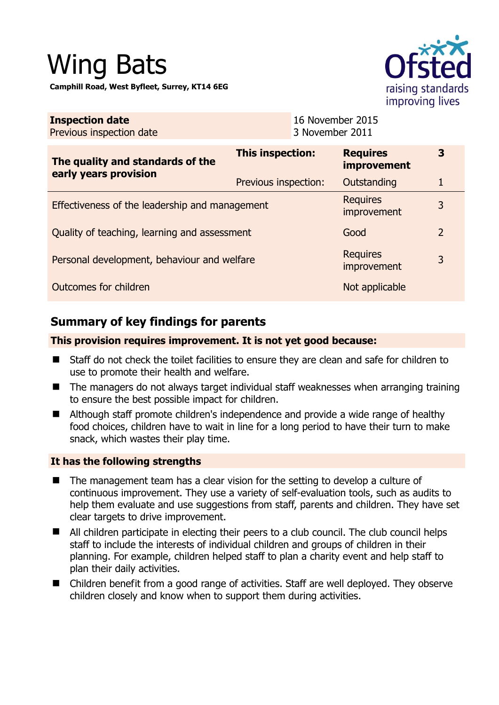# Wing Bats

**Camphill Road, West Byfleet, Surrey, KT14 6EG** 



| <b>Inspection date</b><br>Previous inspection date |                      | 16 November 2015<br>3 November 2011 |                                       |                |
|----------------------------------------------------|----------------------|-------------------------------------|---------------------------------------|----------------|
| The quality and standards of the                   | This inspection:     |                                     | <b>Requires</b><br><i>improvement</i> | 3              |
| early years provision                              | Previous inspection: |                                     | Outstanding                           |                |
| Effectiveness of the leadership and management     |                      |                                     | <b>Requires</b><br>improvement        | 3              |
| Quality of teaching, learning and assessment       |                      |                                     | Good                                  | $\overline{2}$ |
| Personal development, behaviour and welfare        |                      |                                     | <b>Requires</b><br>improvement        | 3              |
| Outcomes for children                              |                      |                                     | Not applicable                        |                |

# **Summary of key findings for parents**

#### **This provision requires improvement. It is not yet good because:**

- Staff do not check the toilet facilities to ensure they are clean and safe for children to use to promote their health and welfare.
- The managers do not always target individual staff weaknesses when arranging training to ensure the best possible impact for children.
- Although staff promote children's independence and provide a wide range of healthy food choices, children have to wait in line for a long period to have their turn to make snack, which wastes their play time.

#### **It has the following strengths**

- The management team has a clear vision for the setting to develop a culture of continuous improvement. They use a variety of self-evaluation tools, such as audits to help them evaluate and use suggestions from staff, parents and children. They have set clear targets to drive improvement.
- All children participate in electing their peers to a club council. The club council helps staff to include the interests of individual children and groups of children in their planning. For example, children helped staff to plan a charity event and help staff to plan their daily activities.
- Children benefit from a good range of activities. Staff are well deployed. They observe children closely and know when to support them during activities.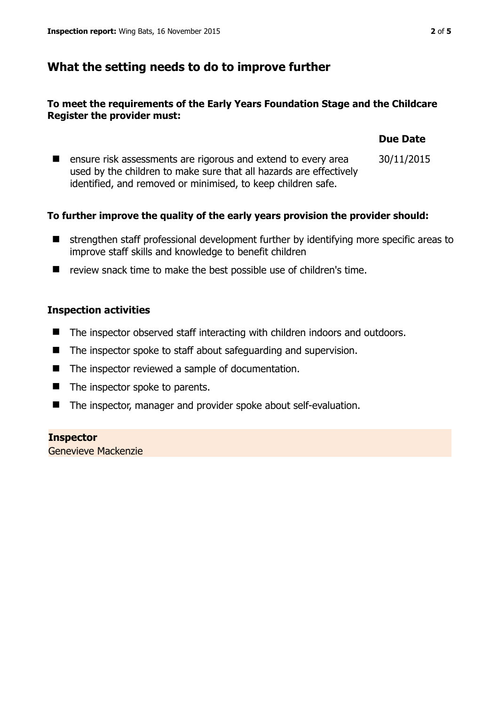### **What the setting needs to do to improve further**

#### **To meet the requirements of the Early Years Foundation Stage and the Childcare Register the provider must:**

|                                                                                                                                                                                                     | <b>Due Date</b> |
|-----------------------------------------------------------------------------------------------------------------------------------------------------------------------------------------------------|-----------------|
| ensure risk assessments are rigorous and extend to every area<br>used by the children to make sure that all hazards are effectively<br>identified, and removed or minimised, to keep children safe. | 30/11/2015      |

#### **To further improve the quality of the early years provision the provider should:**

- strengthen staff professional development further by identifying more specific areas to improve staff skills and knowledge to benefit children
- review snack time to make the best possible use of children's time.

#### **Inspection activities**

- The inspector observed staff interacting with children indoors and outdoors.
- The inspector spoke to staff about safeguarding and supervision.
- The inspector reviewed a sample of documentation.
- The inspector spoke to parents.
- The inspector, manager and provider spoke about self-evaluation.

# **Inspector**

Genevieve Mackenzie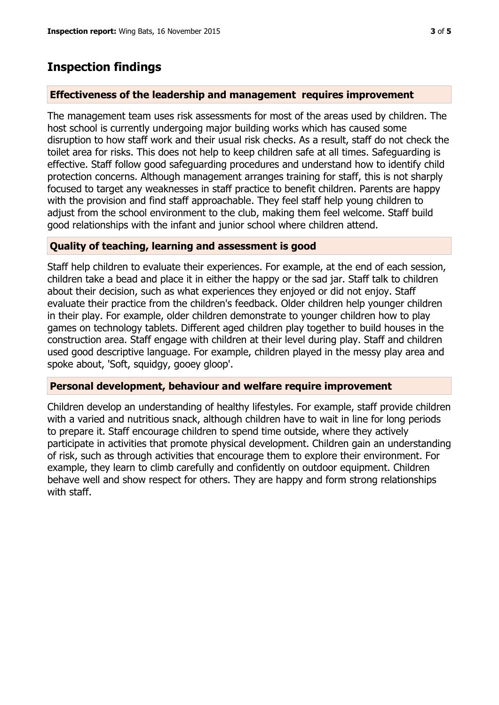## **Inspection findings**

#### **Effectiveness of the leadership and management requires improvement**

The management team uses risk assessments for most of the areas used by children. The host school is currently undergoing major building works which has caused some disruption to how staff work and their usual risk checks. As a result, staff do not check the toilet area for risks. This does not help to keep children safe at all times. Safeguarding is effective. Staff follow good safeguarding procedures and understand how to identify child protection concerns. Although management arranges training for staff, this is not sharply focused to target any weaknesses in staff practice to benefit children. Parents are happy with the provision and find staff approachable. They feel staff help young children to adjust from the school environment to the club, making them feel welcome. Staff build good relationships with the infant and junior school where children attend.

#### **Quality of teaching, learning and assessment is good**

Staff help children to evaluate their experiences. For example, at the end of each session, children take a bead and place it in either the happy or the sad jar. Staff talk to children about their decision, such as what experiences they enjoyed or did not enjoy. Staff evaluate their practice from the children's feedback. Older children help younger children in their play. For example, older children demonstrate to younger children how to play games on technology tablets. Different aged children play together to build houses in the construction area. Staff engage with children at their level during play. Staff and children used good descriptive language. For example, children played in the messy play area and spoke about, 'Soft, squidgy, gooey gloop'.

#### **Personal development, behaviour and welfare require improvement**

Children develop an understanding of healthy lifestyles. For example, staff provide children with a varied and nutritious snack, although children have to wait in line for long periods to prepare it. Staff encourage children to spend time outside, where they actively participate in activities that promote physical development. Children gain an understanding of risk, such as through activities that encourage them to explore their environment. For example, they learn to climb carefully and confidently on outdoor equipment. Children behave well and show respect for others. They are happy and form strong relationships with staff.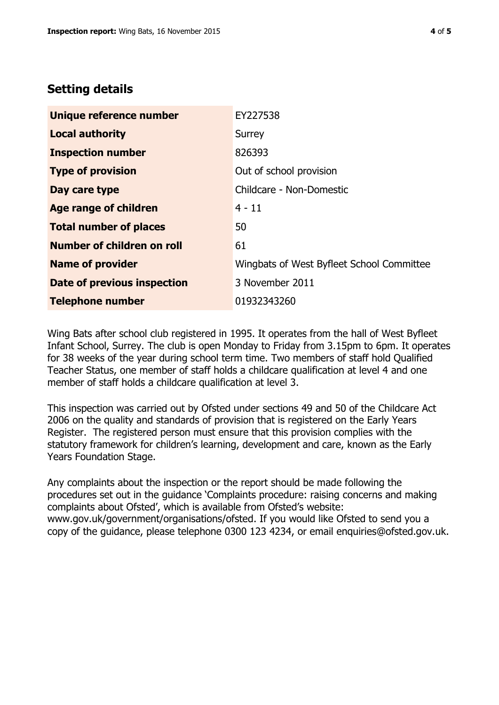## **Setting details**

| Unique reference number       | EY227538                                  |
|-------------------------------|-------------------------------------------|
| <b>Local authority</b>        | Surrey                                    |
| <b>Inspection number</b>      | 826393                                    |
| <b>Type of provision</b>      | Out of school provision                   |
| Day care type                 | Childcare - Non-Domestic                  |
| Age range of children         | $4 - 11$                                  |
| <b>Total number of places</b> | 50                                        |
| Number of children on roll    | 61                                        |
| <b>Name of provider</b>       | Wingbats of West Byfleet School Committee |
| Date of previous inspection   | 3 November 2011                           |
| <b>Telephone number</b>       | 01932343260                               |

Wing Bats after school club registered in 1995. It operates from the hall of West Byfleet Infant School, Surrey. The club is open Monday to Friday from 3.15pm to 6pm. It operates for 38 weeks of the year during school term time. Two members of staff hold Qualified Teacher Status, one member of staff holds a childcare qualification at level 4 and one member of staff holds a childcare qualification at level 3.

This inspection was carried out by Ofsted under sections 49 and 50 of the Childcare Act 2006 on the quality and standards of provision that is registered on the Early Years Register. The registered person must ensure that this provision complies with the statutory framework for children's learning, development and care, known as the Early Years Foundation Stage.

Any complaints about the inspection or the report should be made following the procedures set out in the guidance 'Complaints procedure: raising concerns and making complaints about Ofsted', which is available from Ofsted's website: www.gov.uk/government/organisations/ofsted. If you would like Ofsted to send you a copy of the guidance, please telephone 0300 123 4234, or email enquiries@ofsted.gov.uk.